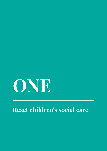# **ONE**

# **Reset children's social care**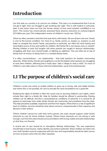# **Introduction**

Our first task as a society is to care for our children. This task is so fundamental that if we do not get it right, then we struggle to get anything else right. This is self-evident in outcomes data. It hits home when we hear the human stories of lives lived isolated, unfulfilled or cut short. This review has conservatively assessed these adverse outcomes as costing England £23 billion per year (The independent review of children's social care, 2021a).

What we often overlook is that this first task starts with family. We are all born into one. Family is core to the human condition. For most of us, family carries us, shapes us, sustains us and helps us navigate the world. Family, and parents in particular, are often the most lasting and meaningful source of love and safety for children. But family life is not always easy or smooth. Raising children is hard, but tougher still when parents are caught in abusive relationships, struggling with their own mental health, or fighting an addiction. This can often be on top of being short of money or being stuck in a cramped damp home.

It is often connectedness – our relationships – that hold solutions for families overcoming adversity. Wider family, friends and neighbours can be the ballast when parents are struggling to raise their children, affirming that it really does "take a village to raise a child". So much of children's care takes place in these informal relationships, away from professionals.

## **1.1 The purpose of children's social care**

Children's social care exists to enable children to grow up in loving, safe and stable families and where this is not possible, for care to provide the same foundations for a good life.

Realising the rights of families is often the surest way to securing children's own rights, which include their right to a family life. Help for families should be offered in partnership. Raising children can be difficult, and this is exacerbated by conditions of adversity. It is normal for all parents to need help, from wider family, friends, the community and sometimes from the state. This help should be available, responsive and free from stigma. When there is a risk of significant harm to children, services should be clear about concerns, compassionate in their response and decisive in their actions.

Where children cannot live with their birth parents, the state should support wider family networks to care for these children instead. Where those networks are not strong or safe enough, care from the state should surround children with loving, stable and safe relationships so that they can flourish.

A central aim of care should be to strengthen lifelong relationships. The care experience should help to heal trauma, realise identity and achieve potential. When children are taken into care, birth families must be supported with this loss and responsibility should be taken across services to break cycles that are often repeated.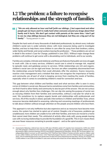### **1.2 The problem: a failure to recognise relationships and the strength of families**

*"We are only allowed an hour and half [with our siblings…] but supervised and other people get six hours and it is really hard when everyone around you brags about their family and it hurts. We don't get contact with parents at the same time. I don't get to see my step siblings because they are not biological, but they are a big part of my family." - Young person in care*

Despite the hard work of many thousands of dedicated professionals, by almost every indicator children's social care is under extreme stress: with more resources being used to investigate families, and less to help them; more children in care often far away from their brothers, sisters, wider family and friends; and social workers leaving the profession.<sup>11</sup> These problems are set out in detail in the review's Case for Change, published in June 2021. Without major change these problems will continue to get worse with a devastating cost to individuals, and to our society.

Families are complex, intimate and relational, and these are features that public services struggle to work with. Like so many services, children's social care is wired to manage risk, respond to episodic need, and gatekeep access to services. While relationships are rich and organic, children's social care can be rigid and linear. Services are often completely disconnected from the relationships around families that could ultimately offer the solutions. Scarce resources, reactive crisis management and a mindset that does not recognise the importance of family and community are all part of what is keeping services from meeting the needs of families, especially when it comes to considering children's need for connection and love.

This gap between what children and families need and what services offer is seen in every corner of children's social care. Because harms sometimes come from families and communities, we find it hard to allow family and community to also be part of the answer. We are not curious enough about why families face challenges. We can slip into seeing the purpose of social care as rescuing children from their families and communities, without a real plan for what to do next. We sometimes try to replace organic bonds and relationships with professionals and services. All of this results in siloed, sporadic interventions in children and families' lives, where resources become dedicated to assessing, referring and convening meetings of professionals to talk about children without enough attention on the people around children who love them.

This approach is not only ineffective but also expensive and so as resources have become more scarce, the system has started to spiral out of control. Despite a lot of busyness, problems go unaddressed, more children are unable to live with their families, and more are moved to a home that cannot meet their needs. This whirlwind of activity often ends with young people leaving care with no loving relationships to provide the foundation of a good life. This in turn means there are even fewer resources remaining to provide support - and so the spiral escalates.

<sup>11</sup> Assessments following a referral have risen by 14% since 2014/15, section 47 enquiries have increased by 123% since 2010 and child protection conferences have increased by 65% since 2010. Gross spending on non-safeguarding children's services decreased by 38% in real terms between 2012/13 and 2020/21 (Department for Education, 2021k). NB. The review defines 'nonsafeguarding children's services' as s251 spend lines 3.0.5 'Total Sure Start Children's Centres and other spend on children under 5', 3.2.1 'Other Children and Family Services', 3.4.6 'Total Family Support Services', and 3.5.3 'Total Services for young people'. In 2020, 37% of residential placements were greater than 20 miles from home (Department for Education, 2021b). As of 2020 nearly 12,000 children in care (15% of all children in care) were not living with at least one of their siblings (Kenyon & Forde, 2020).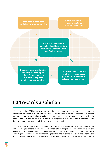**Reduction in resources available to support families**

**Mindset that doesn't recognise importance of family and community**

**Resources focused on episodic, siloed intervention that doesn't meet children and families needs**

**Resource becomes directed towards responding to crisis. Fewer resources available to support families and communities**

**Needs escalate - children are harmed, enter care, placements break down, relationships are broken**

## **1.3 Towards a solution**

What is to be done? This review was commissioned by government as a "once-in-a-generation opportunity to reform systems and services" for children and families. Our response is a broad and bold plan to reset children's social care, so that at every stage services get alongside the people who care about a child, from parents to neighbours to foster carers, in order to enable them to provide the safety, stability and love children need.

This reset means a revolution in the help we offer families experiencing acute stress, where families will get responsive and intensive support from people who will stick with them and have the skills, time and resources to achieve lasting change for children. Communities will be encouraged to participate in strengthening families and supported to open their hearts and homes to care for children. This reset will mean a focused and decisive response to danger for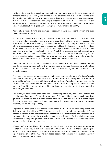children, where key decisions about potential harm are made by only the most experienced. It means backing wider family networks to care for children when it is safe. When care is the right option for children, this reset means reimagining the types of homes and relationships they need. It means recognising the unique experience of having been a child in care and nurturing the foundations for a good life for the care experienced community: to be loved, excel in education, have a good home, have purposeful work and be healthy.

Above all, it means having the courage to radically change the current system and build something better together.

Achieving this reset across a big and messy system like children's social care will mean breaking a cycle of escalating need and crisis intervention, and forming a new virtuous cycle. It will mean a shift from spending our money and efforts on reacting to crises and instead rebalancing resources to back those who care for and love children. A new cycle that will see us wrapping practical support around families, helping them establish connections with others and sticking with them in the toughest times. A shift from accepting the high costs of burnt out foster carers, and instead investing in these carers to stick with children. Breaking out of a cycle of poor job satisfaction and high turnover for social workers, to a new cycle where they have the time, tools and trust to stick with families and make a difference.

To ensure this system continually evolves to meet the needs of the individual child, parents and the collective care population, it will be designed to listen and respond to what matters to them via advocacy and representation. Inspection will be realigned to focus on the health of relationships.

This report has echoes from messages given by other reviews into parts of children's social care over the last 30 years. The review has tried to learn from these previous attempts to reform children's social care and it borrows from the best of previous improvements to the system. There are recommendations made that relate to finishing work started decades ago, revisiting ideas tested but set aside, and keeping commitments that were made but have not yet been met.

This report, and the reform plan it outlines, is something that every reader has a part to play in delivering. And some of it can be done now. Citizens, public servants, local councillors, government ministers and business leaders will find a direct call to action in these pages. Some of the recommendations will require national action by government that will take years, but many can be acted upon today.

Together, the changes we recommend would mean 30,000 more children living safely and thriving with their families by 2032-33 compared to the current trajectory. A lasting shift that will make lifelong loving relationships the obsession of the care system, and a recognition in society of what we owe to those who have been in care. A legacy of a financially sustainable system that keeps getting better. Most importantly of all, the results of these reforms will be better lives for children and families.

We are confident that this ambitious plan can be achieved because we are not starting from scratch. Green shoots, and in some cases small trees, are already out there illustrating the horizon of the future system. These local approaches, which are referenced throughout the report, are too often at the margins, developed *despite* not *because* of the system, and they need to be brought to the centre.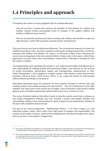# **1.4 Principles and approach**

Throughout the review we have grappled with two related dilemmas.

- How do we have a system that achieves the benefits of local delivery for children and families, without having unacceptable levels of variation in the support children and families in different areas receive?
- How do we promote autonomy for those working with children and families to make the right decisions, whilst still having the essential checks and balances?

There are choices over how to settle these dilemmas. The conventional response is to reach for traditional top down rules, structures, guidance and targets, hoping to guarantee a minimum standard that children and families can expect. As becomes evident when reviewing the various laws and guidance that exist around children's homes later in the report, whilst these approaches can give clarity, they risk building a system that is inflexible in meeting the real life needs of children.

The fragmentation and complexity this results in, can undermine the ability of professionals to take responsibility for helping families and protecting children. Over-reliance on this formula of central prescription, performance targets and managerialism (characterised as New Public Management<sup>12</sup>) when applied to complex systems, often leads to waste and perverse incentives (Hood & Dixon, 2015; Munro, 2011). It can create the illusion of improvement without delivering change on the ground.

Alternative approaches push for autonomy for local systems, focused on minimal rules and creating systems that enable learning and improvement.<sup>13</sup> This set of behaviours is the right ambition, but when parts of the system are so fragile, a lack of direction could result in things getting worse, therefore undermining reforms before they have a chance to work.

The review therefore believes that reform needs to help the system move from a reliance on new public management methods over time, towards a system with greater freedom and responsibility, setting a clear national direction about change but not repeating the mistakes of the past with compliance led processes.

The goal of our reform programme - *Relationships Protect -* is to leave a legacy of a self improving system, within which actors have high levels of freedom and responsibility. We propose six principles of reform, which are the building blocks that flow throughout the report, and are set out in more detail in Chapter Nine.

<sup>13</sup> This was the approach taken by the Munro review in 2011, which made 15 recommendations to government, several focused on increasing autonomy and social worker capability. This approach is also captured by "human learning systems": see for example: https://www.humanlearning.systems/



<sup>12</sup> New public management was defined as a concept in the early 1990s and is characterised by a command and control approach to setting targets, monitoring performance and handing over power to a small number of senior managers.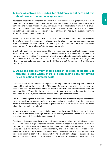#### **1. Clear objectives are needed for children's social care and this should come from national government**

At present, national government involvement in children's social care is generally uneven, with some parts of the system highly devolved (for example the help available to families or extra familial harms), whilst others have very significant levels of national intervention (for example adoption). National government has a unique and vital role in setting out the goals and values for children's social care, in consultation with all of those affected by the system, stemming from a national democratic mandate.

National government will need to set out in one place the overall outcomes and objectives the system should be achieving for children and families, as well as the best evidenced ways of achieving them and indicators for learning and improvement. This is why the review recommends a National Children's Social Care Framework.

Direction through this Framework would have an important role in the *Relationships Protect* reform programme. Resources should be linked, making sure investment translates to improvements for families. This approach of setting national system goals alongside funding to achieve reform is one that has been used widely - from the *Quality Protects* programme which reformed children's social care in the 1990s and 2000s, through to the NHS Long Term Plan.

#### **2. Decisions and delivery should happen as close as possible to families, except where there is a compelling case for setting rules or acting at greater scale**

Decisions about how nationally set objectives are implemented should happen as close to communities and families as possible. This means focusing money, attention and power as close to families and their communities as possible, to build on and facilitate their strengths and capabilities. We need to flip on its head the status quo where children and families are made to fit the system, rather than the system working to meet their needs.

This means backing local authorities and their partners to deliver the vast majority of children's social care, and making it non-negotiable to involve children and families in how they design and deliver it. It also means changing rules and requirements that set out how systems should deliver where they contradict this principle.

Across the review there are a number of places where we have identified rules that we think get in the way of local areas deciding what is best for families, for example some of the rules that exist about how child in need plans are managed.

This does not, however, mean that there should be no rules or that delivery should be left exclusively to local authorities. In high performing systems a smaller number of rules become even more important, and where a system is more fragile national intervention may have an important role. Examples of this include multi-agency accountability, the care market and agency social work, where the nature and intractability of these problems means we think the case has been made for national action. In each of these cases we have held a high bar, and applied the principle that national government should only step in when a problem cannot be solved by those closest to it.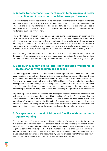#### **3. Greater transparency, new mechanisms for learning and better inspection and intervention should improve performance**

Our confidence to devolve decisions about how children's social care is delivered to local areas, requires there being sufficient transparency about how it is working for children and families. This is all the more important for the children and families who are too often voiceless in national policy and politics, too often only coming to the public's attention through a serious incident and then quickly forgotten.

This is why national direction should be accompanied by indicators focused on understanding child and family experiences of services. Alongside this, improved inspection should better reflect what we want to see in children's social care. There should be mechanisms locally, regionally and nationally to consider system performance and translate this into a cycle of improvement. For example, more regular forums and more challenging dialogue on how eligibility for Family Help is being applied, or how different judicial orders are being made.

When learning does not work, action must be taken to ensure children and families get the services they deserve and so we also make recommendations to strengthen national interventions when local authority or partner contributions are persistently not good enough.

#### **4. Empower a highly skilled and knowledgeable workforce to create change with children and families**

The entire approach advocated by this review is reliant upon an empowered workforce. The recommendations set out by this review depend upon well supported, confident and trusted practitioners who have the knowledge and skills to meet the needs of children and families. This is why we recommend an investment of £253 million over four years in the professional development of social workers, new national pay scales, routes to build expertise and remain in practice, more flexible working, and action to reduce bureaucracy, so that social workers are backed to spend their time doing what they do best - creating change with children and families.

Empowering social workers also means that managers, leaders, academics, inspectors and policy makers need to be more firmly rooted in the realities of practice. Social work registration should therefore come with a requirement to continue spending time doing direct work regardless of where you are in the hierarchy. The wider workforce around children and families also needs to be supported and empowered to transform children's social care, and recommendations are made for family support workers and residential care workers.

#### **5. Design services around children and families with better multiagency working**

Children and families' experiences should be at the heart of these reforms. At the moment they are too often missing from considerations about how the national government designs and delivers policy. We make a number of recommendations to improve national government alignment across the review (whether it is the number of plans a child has or the number of different overlapping funding streams local areas deal with). Beyond national government this is also about local governance and accountability and we propose strengthening local multiagency arrangements and adding education as a safeguarding partner.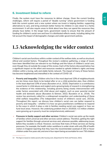#### **6. Investment linked to reform**

Finally, the system must have the resources to deliver change. Given the current funding challenges, reform will require a period of "double running" where government is funding both the current system and a new system where we invest in helping families, supporting alternatives to care, and bring onstream better homes for children in care closer to a family environment. It will also require areas to think about how they can spend the resources they already have better. In the longer term, government needs to ensure that the amount of funding for children's social care and how it is distributed reflects needs, including taking into full account the impact of demographic changes and wider government policies.

## **1.5 Acknowledging the wider context**

Children's social care functions within a wider context of the welfare state, as well as structural, ethical and societal factors. Throughout the review's evidence gathering, a range of issues have been identified that are relevant to our findings and the future of children's social care, even though they sit outside the scope of this review. Each of the factors discussed below has a significant impact on the effort and resources needed to uphold children's rights and keep children within a loving, safe and stable family network. The impact of many of these factors has become heightened and intensified in the context of COVID-19.

- **• Poverty and inequality**: Children who live in the most deprived 10% of neighbourhoods are ten times more likely to be looked after or on a child protection plan, than children in the least deprived 10% of areas (Bywaters et al., 2020). Deprivation is a contributory causal factor in child abuse and neglect and a growing body of research is strengthening the evidence of this relationship, including poverty being closely interconnected with wider factors associated with child abuse and neglect, such as poor parental mental health and domestic abuse (Bywaters & Skinner, 2022; Bywaters et al., 2016). The review has previously called for a widespread recognition and understanding of these child welfare inequalities (The independent review of children's social care, 2021b). Throughout this report, we discuss how children's social care can better respond to poverty and inequality - whether it is how we give practitioners confidence to respond to the ways in which it plays a role in families needing social care support or how we fund local areas. However, the underlying problem that in 2019/20, 4.3 million children were growing up in poverty must be comprehensively addressed.<sup>14</sup>
- **• Pressures in family support and other services**: Children's social care picks up the needs of families which universal and other services cannot address. Therefore, getting the right support for families through universal services and, wherever possible, addressing issues before they escalate is critical. However, we know that many of these services are facing pressures. For example, the health visitor workforce is under strain with only 9% of health visitors in England reporting that they have the recommended caseload of 250 or fewer children under five years old, and one in four report being accountable for over 750 children

<sup>14</sup> This figure is based on relative poverty after housing costs. (Department for Work and Pensions, 2021).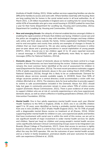(Institute of Health Visiting, 2021). Wider welfare services supporting families can also be difficult for families to access and work with. Where families need help with housing, there are long waiting lists for homes in the social rented sector in all local authorities. As of March 2021, 1.19 million households in England were on waiting lists for social housing, whilst 42% of households who got a new social housing in 2019/20 waited for more than a year for their home (Department for Levelling Up, Housing and Communities, 2021a; Department for Levelling Up, Housing and Communities, 2021b).

- **• New and emerging threats**: the ubiquity of internet enabled devices amongst children is enabling the rapid evolution of threats that children are facing. Children's social care and the police are struggling to keep in step with technological changes and keep children safe online and from abuse outside the family. Online exploitation facilitated through end-to-end encryption and county lines activity are examples of changes in threats to children that we must respond to. We are also seeing significant increases in online peer-on-peer abuse and a growing prevalence in sexual exploitation of young people (NSPCC, 2021). Around one in ten children aged 13 to 15 years reported receiving a sexual message in 2019/2020, with girls significantly more likely to report such messages (Office for National Statistics, 2021d).
- **• Domestic abuse:** The impact of domestic abuse on families has been central to a huge number of the testimonies we have heard during the review. Violence between parents remains the most common factor identified at the end of assessment for children in need (Department for Education, 2021a). The most recent prevalence estimates suggest 5.5% of adults experienced domestic abuse in the year ending March 2020 (Office for National Statistics, 2021b), though this is likely to be an underestimate. Demand for domestic abuse services exceeds available supply. In 2019/20, fewer than 50% of refuge vacancies posted on a central directory could accommodate a victim with two children (Birchall et al., 2021). The statutory duty for local authorities to provide support to victims in safe accommodation included in the Domestic Abuse Act 2021 should help, but gaps in community provision remain in areas where 70% of victims access support (Domestic Abuse Commissioner, 2021). There is poor evidence of what works to support children who are at risk of, currently experiencing or who have experienced, domestic abuse, as well as what is effective in tackling perpetrators (Ofsted, 2017; Early Intervention Foundation, 2021b).
- **• Mental health**: One in four adults experience mental health issues each year (Mental Health Taskforce to the NHS in England, 2016). In 2020, one in six (16.0%) children aged 5 to 16 years were identified as having a probable mental disorder, increasing from one in nine (10.8%) in 2017 (Public Health England 2021). Yet 70-75% of people with a diagnosable mental illness receive no treatment at all (Davies, 2014). Whilst supporting better mental health for children in care, care experienced adults and families that have involvement with social care is within the remit of this review, we are yet to see significant benefit of major investment in wider mental health services for adults and children. Spend per head on children and young people's mental health services varies significantly between Clinical Commissioning Groups (soon to be Integrated Care Boards) (Royal College of Psychiatrists, 2017). Given that access to services is rightly based on clinical need, there is a limit to how much a review of children's social care can affect the way the NHS operates. We see the outcomes of poor mental health acutely, and as a factor in family breakdown, premature deaths and poor outcomes for people with care experience (Ofsted et al., 2020).